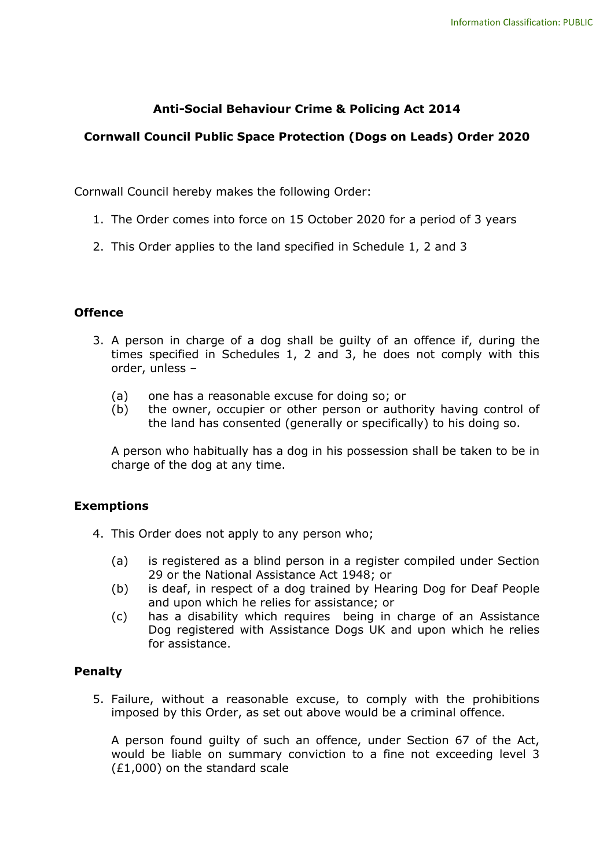## **Anti-Social Behaviour Crime & Policing Act 2014**

### **Cornwall Council Public Space Protection (Dogs on Leads) Order 2020**

Cornwall Council hereby makes the following Order:

- 1. The Order comes into force on 15 October 2020 for a period of 3 years
- 2. This Order applies to the land specified in Schedule 1, 2 and 3

#### **Offence**

- times specified in Schedules 1, 2 and 3, he does not comply with this order, unless -3. A person in charge of a dog shall be guilty of an offence if, during the
	- (a) one has a reasonable excuse for doing so; or
	- (b) the owner, occupier or other person or authority having control of the land has consented (generally or specifically) to his doing so.

A person who habitually has a dog in his possession shall be taken to be in charge of the dog at any time.

#### **Exemptions**

- 4. This Order does not apply to any person who;
	- (a) is registered as a blind person in a register compiled under Section 29 or the National Assistance Act 1948; or
	- (b) is deaf, in respect of a dog trained by Hearing Dog for Deaf People and upon which he relies for assistance; or
	- (c) has a disability which requires being in charge of an Assistance Dog registered with Assistance Dogs UK and upon which he relies for assistance.

### **Penalty**

imposed by this Order, as set out above would be a criminal offence. 5. Failure, without a reasonable excuse, to comply with the prohibitions

imposed by this Order, as set out above would be a criminal offence.<br>A person found guilty of such an offence, under Section 67 of the Act, would be liable on summary conviction to a fine not exceeding level 3 (£1,000) on the standard scale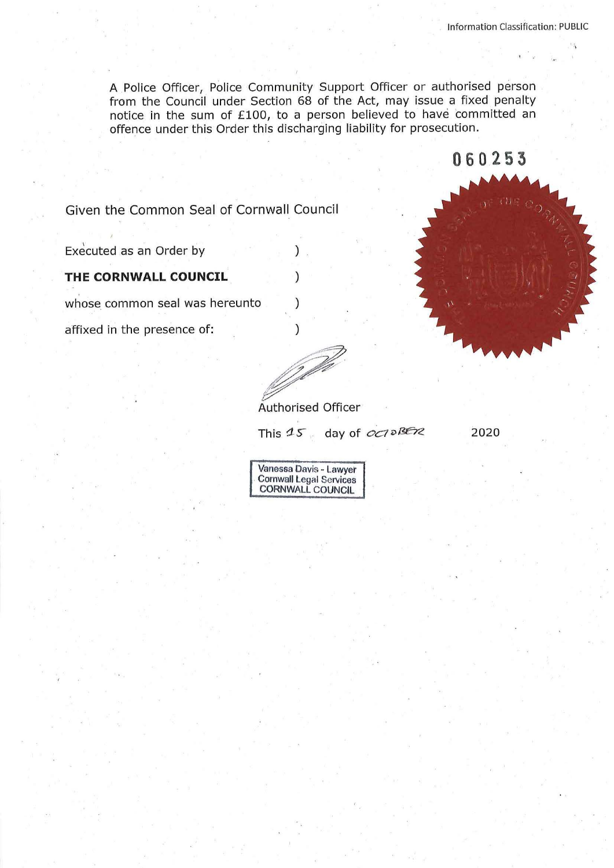**0 6 0 255** 

A Police Officer, Police Community Support Officer or authorised person from the Council under Section 68 of the Act, may issue a fixed penalty notice in the sum of £100, to a person believed to have 'committed an offence under this Order this discharging liability for prosecution.

Given the Common Seal of Cornwall Council

\ Executed as an Order by )

**THE CORNWALL COUNCIL** )

whose common seal was hereunto

affixed in the presence of:  $\qquad \qquad$  )

Authorised Officer

This  $45$  day of *oct DBE12* 2020

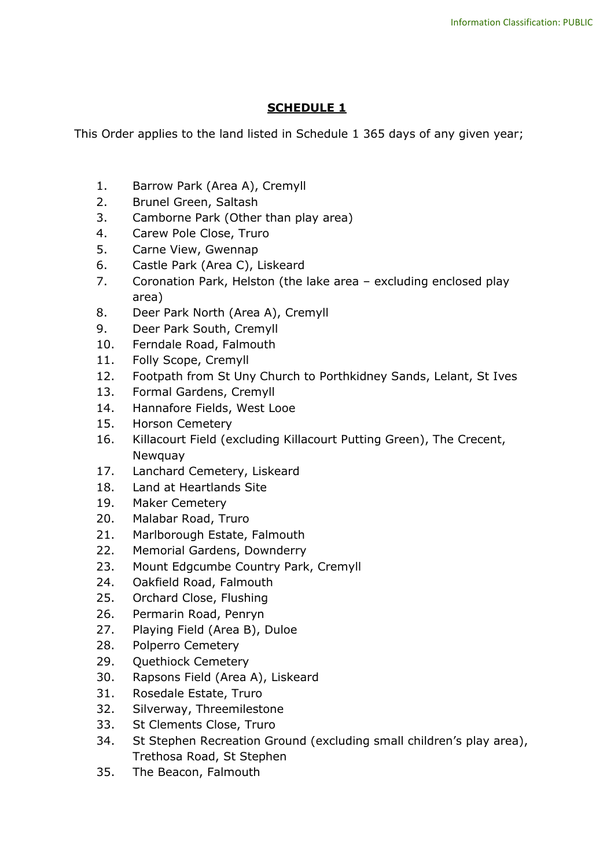## **SCHEDULE 1**

This Order applies to the land listed in Schedule 1 365 days of any given year;

- 1. Barrow Park (Area A), Cremyll
- 2. Brunel Green, Saltash
- 3. Camborne Park (Other than play area)
- 4. Carew Pole Close, Truro
- 5. Carne View, Gwennap
- 6. Castle Park (Area C), Liskeard
- 7. Coronation Park, Helston (the lake area excluding enclosed play area)
- 8. Deer Park North (Area A), Cremyll
- 9. Deer Park South, Cremyll
- 10. Ferndale Road, Falmouth
- 11. Folly Scope, Cremyll
- 12. Footpath from St Uny Church to Porthkidney Sands, Lelant, St Ives
- 13. Formal Gardens, Cremyll
- 14. Hannafore Fields, West Looe
- 15. Horson Cemetery
- 16. Killacourt Field (excluding Killacourt Putting Green), The Crecent, Newquay
- 17. Lanchard Cemetery, Liskeard
- 18. Land at Heartlands Site
- 19. Maker Cemetery
- 20. Malabar Road, Truro
- 21. Marlborough Estate, Falmouth
- 22. Memorial Gardens, Downderry
- 23. Mount Edgcumbe Country Park, Cremyll
- 24. Oakfield Road, Falmouth
- 25. Orchard Close, Flushing
- 26. Permarin Road, Penryn
- 27. Playing Field (Area B), Duloe
- 28. Polperro Cemetery
- 29. Quethiock Cemetery
- 30. Rapsons Field (Area A), Liskeard
- 31. Rosedale Estate, Truro
- 32. Silverway, Threemilestone
- 33. St Clements Close, Truro
- 34. St Stephen Recreation Ground (excluding small children's play area), Trethosa Road, St Stephen
- 35. The Beacon, Falmouth